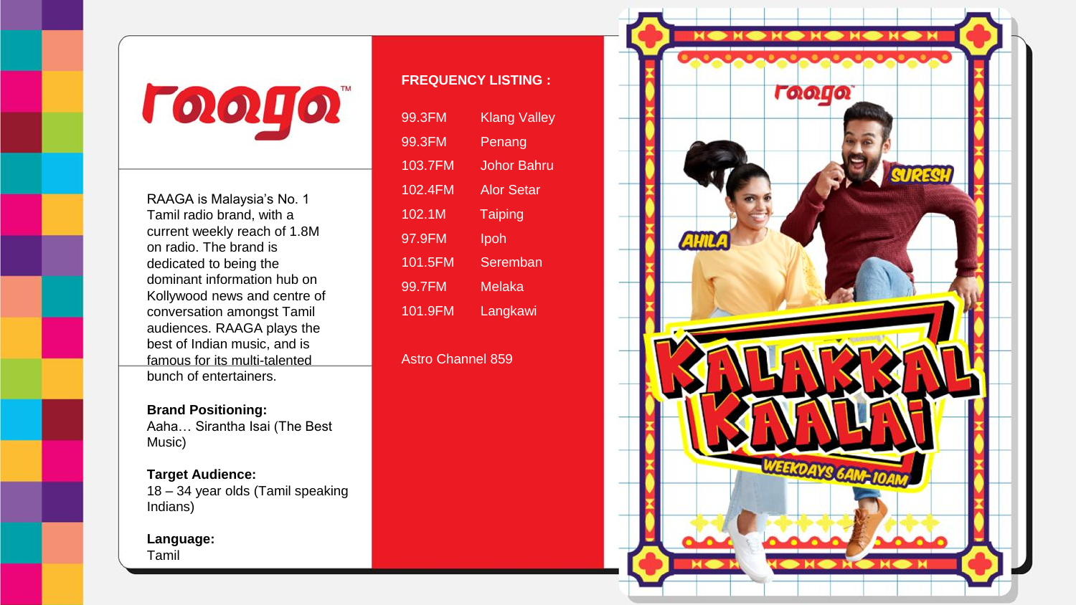**ГООЦО** 

RAAGA is Malaysia's No. 1 Tamil radio brand, with a current weekly reach of 1.8M on radio. The brand is dedicated to being the dominant information hub on Kollywood news and centre of conversation amongst Tamil audiences. RAAGA plays the best of Indian music, and is famous for its multi-talented bunch of entertainers.

**Brand Positioning:** Aaha… Sirantha Isai (The Best Music)

**Target Audience:** 18 – 34 year olds (Tamil speaking Indians)

**Language:** Tamil

## **FREQUENCY LISTING :**

| 99.3FM  | Klang Valley      |
|---------|-------------------|
| 99.3FM  | Penang            |
| 103.7FM | Johor Bahru       |
| 102.4FM | <b>Alor Setar</b> |
| 102.1M  | <b>Taiping</b>    |
| 97.9FM  | Ipoh              |
| 101.5FM | Seremban          |
| 99.7FM  | Melaka            |
| 101.9FM | Langkawi          |

Astro Channel 859

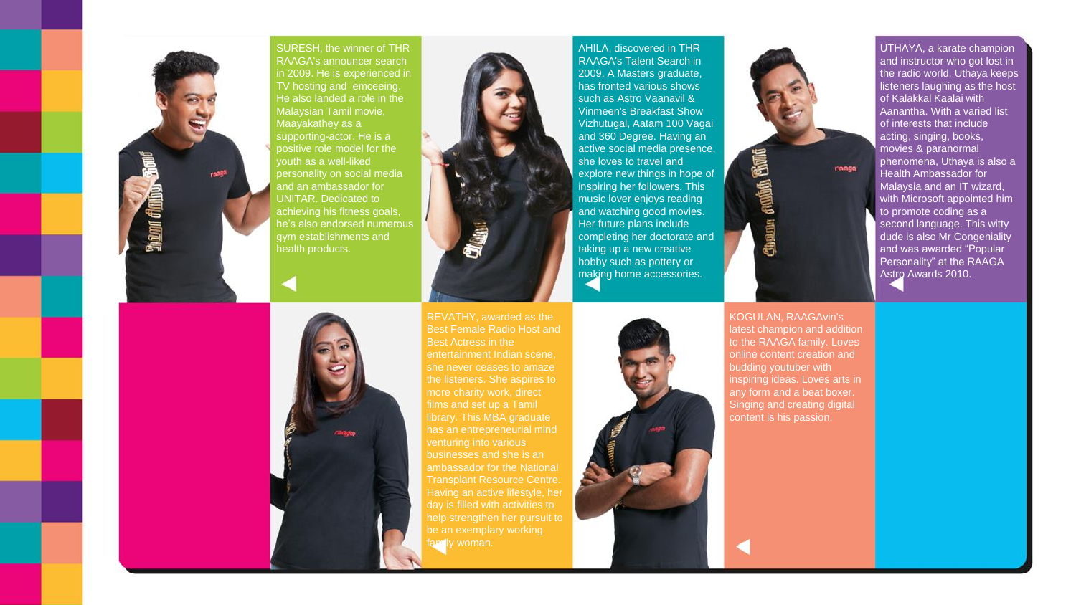

SURESH, the winner of THR RAAGA's announcer search in 2009. He is experienced in TV hosting and emceeing. He also landed a role in the Malaysian Tamil movie, Maayakathey as a supporting-actor. He is a positive role model for the youth as a well-liked personality on social media and an ambassador for UNITAR. Dedicated to achieving his fitness goals, he's also endorsed numerous gym establishments and



ambassador for the National Transplant Resource Centre. day is filled with activities to

amily woman.

AHILA, discovered in THR RAAGA's Talent Search in 2009. A Masters graduate, has fronted various shows such as Astro Vaanavil & Vinmeen's Breakfast Show Vizhutugal, Aatam 100 Vagai and 360 Degree. Having an active social media presence, she loves to travel and explore new things in hope of inspiring her followers. This music lover enjoys reading and watching good movies. Her future plans include completing her doctorate and taking up a new creative hobby such as pottery or making home accessories.



UTHAYA, a karate champion and instructor who got lost in the radio world. Uthaya keeps listeners laughing as the host of Kalakkal Kaalai with Aanantha. With a varied list of interests that include ranga **Alle Chain d** 

acting, singing, books, movies & paranormal phenomena, Uthaya is also a Health Ambassador for Malaysia and an IT wizard, with Microsoft appointed him to promote coding as a second language. This witty dude is also Mr Congeniality and was awarded "Popular Personality" at the RAAGA Astro Awards 2010.